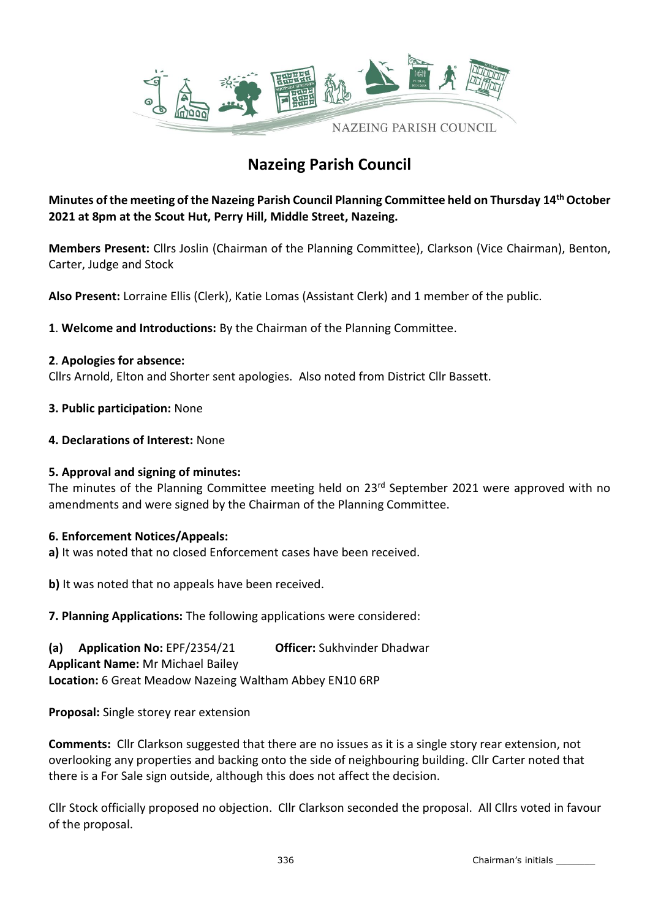

# **Nazeing Parish Council**

**Minutes of the meeting of the Nazeing Parish Council Planning Committee held on Thursday 14th October 2021 at 8pm at the Scout Hut, Perry Hill, Middle Street, Nazeing.**

**Members Present:** Cllrs Joslin (Chairman of the Planning Committee), Clarkson (Vice Chairman), Benton, Carter, Judge and Stock

**Also Present:** Lorraine Ellis (Clerk), Katie Lomas (Assistant Clerk) and 1 member of the public.

**1**. **Welcome and Introductions:** By the Chairman of the Planning Committee.

### **2**. **Apologies for absence:**

Cllrs Arnold, Elton and Shorter sent apologies. Also noted from District Cllr Bassett.

- **3. Public participation:** None
- **4. Declarations of Interest:** None

### **5. Approval and signing of minutes:**

The minutes of the Planning Committee meeting held on 23<sup>rd</sup> September 2021 were approved with no amendments and were signed by the Chairman of the Planning Committee.

### **6. Enforcement Notices/Appeals:**

**a)** It was noted that no closed Enforcement cases have been received.

**b)** It was noted that no appeals have been received.

**7. Planning Applications:** The following applications were considered:

**(a) Application No:** EPF/2354/21 **Officer:** Sukhvinder Dhadwar **Applicant Name:** Mr Michael Bailey **Location:** 6 Great Meadow Nazeing Waltham Abbey EN10 6RP

**Proposal:** Single storey rear extension

**Comments:** Cllr Clarkson suggested that there are no issues as it is a single story rear extension, not overlooking any properties and backing onto the side of neighbouring building. Cllr Carter noted that there is a For Sale sign outside, although this does not affect the decision.

Cllr Stock officially proposed no objection. Cllr Clarkson seconded the proposal. All Cllrs voted in favour of the proposal.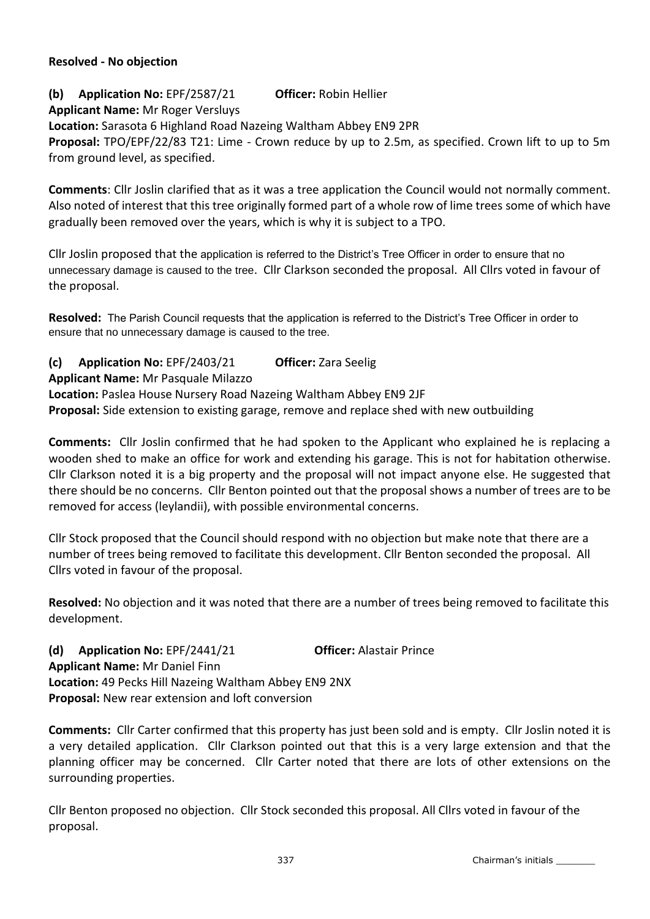### **Resolved - No objection**

**(b) Application No:** EPF/2587/21 **Officer:** Robin Hellier **Applicant Name:** Mr Roger Versluys **Location:** Sarasota 6 Highland Road Nazeing Waltham Abbey EN9 2PR **Proposal:** TPO/EPF/22/83 T21: Lime - Crown reduce by up to 2.5m, as specified. Crown lift to up to 5m from ground level, as specified.

**Comments**: Cllr Joslin clarified that as it was a tree application the Council would not normally comment. Also noted of interest that this tree originally formed part of a whole row of lime trees some of which have gradually been removed over the years, which is why it is subject to a TPO.

Cllr Joslin proposed that the application is referred to the District's Tree Officer in order to ensure that no unnecessary damage is caused to the tree. Cllr Clarkson seconded the proposal. All Cllrs voted in favour of the proposal.

**Resolved:** The Parish Council requests that the application is referred to the District's Tree Officer in order to ensure that no unnecessary damage is caused to the tree.

# **(c) Application No:** EPF/2403/21 **Officer:** Zara Seelig

# **Applicant Name:** Mr Pasquale Milazzo

**Location:** Paslea House Nursery Road Nazeing Waltham Abbey EN9 2JF **Proposal:** Side extension to existing garage, remove and replace shed with new outbuilding

**Comments:** Cllr Joslin confirmed that he had spoken to the Applicant who explained he is replacing a wooden shed to make an office for work and extending his garage. This is not for habitation otherwise. Cllr Clarkson noted it is a big property and the proposal will not impact anyone else. He suggested that there should be no concerns. Cllr Benton pointed out that the proposal shows a number of trees are to be removed for access (leylandii), with possible environmental concerns.

Cllr Stock proposed that the Council should respond with no objection but make note that there are a number of trees being removed to facilitate this development. Cllr Benton seconded the proposal. All Cllrs voted in favour of the proposal.

**Resolved:** No objection and it was noted that there are a number of trees being removed to facilitate this development.

**(d) Application No:** EPF/2441/21 **Officer:** Alastair Prince **Applicant Name:** Mr Daniel Finn **Location:** 49 Pecks Hill Nazeing Waltham Abbey EN9 2NX **Proposal:** New rear extension and loft conversion

**Comments:** Cllr Carter confirmed that this property has just been sold and is empty. Cllr Joslin noted it is a very detailed application. Cllr Clarkson pointed out that this is a very large extension and that the planning officer may be concerned. Cllr Carter noted that there are lots of other extensions on the surrounding properties.

Cllr Benton proposed no objection. Cllr Stock seconded this proposal. All Cllrs voted in favour of the proposal.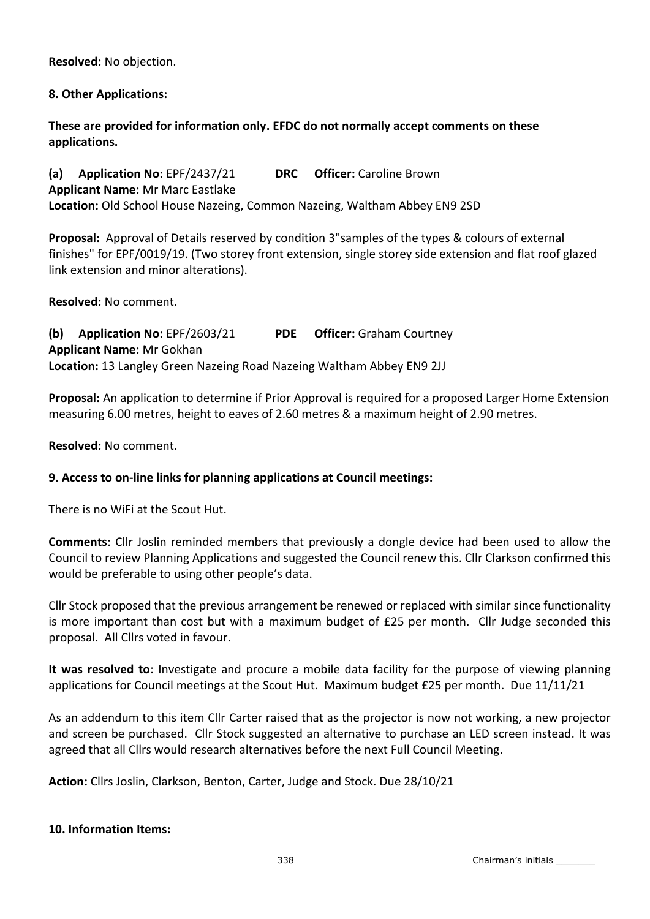**Resolved:** No objection.

# **8. Other Applications:**

**These are provided for information only. EFDC do not normally accept comments on these applications.**

**(a) Application No:** EPF/2437/21 **DRC Officer:** Caroline Brown **Applicant Name:** Mr Marc Eastlake **Location:** Old School House Nazeing, Common Nazeing, Waltham Abbey EN9 2SD

**Proposal:** Approval of Details reserved by condition 3"samples of the types & colours of external finishes" for EPF/0019/19. (Two storey front extension, single storey side extension and flat roof glazed link extension and minor alterations).

**Resolved:** No comment.

**(b) Application No:** EPF/2603/21 **PDE Officer:** Graham Courtney **Applicant Name:** Mr Gokhan **Location:** 13 Langley Green Nazeing Road Nazeing Waltham Abbey EN9 2JJ

**Proposal:** An application to determine if Prior Approval is required for a proposed Larger Home Extension measuring 6.00 metres, height to eaves of 2.60 metres & a maximum height of 2.90 metres.

**Resolved:** No comment.

# **9. Access to on-line links for planning applications at Council meetings:**

There is no WiFi at the Scout Hut.

**Comments**: Cllr Joslin reminded members that previously a dongle device had been used to allow the Council to review Planning Applications and suggested the Council renew this. Cllr Clarkson confirmed this would be preferable to using other people's data.

Cllr Stock proposed that the previous arrangement be renewed or replaced with similar since functionality is more important than cost but with a maximum budget of £25 per month. Cllr Judge seconded this proposal. All Cllrs voted in favour.

**It was resolved to**: Investigate and procure a mobile data facility for the purpose of viewing planning applications for Council meetings at the Scout Hut. Maximum budget £25 per month. Due 11/11/21

As an addendum to this item Cllr Carter raised that as the projector is now not working, a new projector and screen be purchased. Cllr Stock suggested an alternative to purchase an LED screen instead. It was agreed that all Cllrs would research alternatives before the next Full Council Meeting.

**Action:** Cllrs Joslin, Clarkson, Benton, Carter, Judge and Stock. Due 28/10/21

### **10. Information Items:**